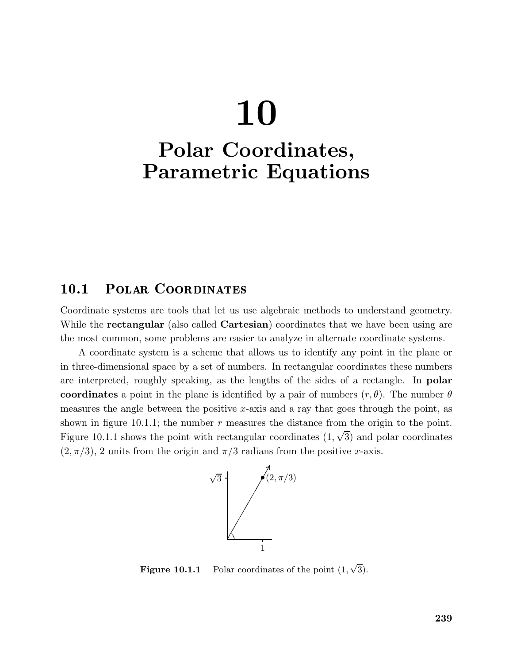# 10

## Polar Coordinates, Parametric Equations

### 10.1 Polar Coordinates

Coordinate systems are tools that let us use algebraic methods to understand geometry. While the **rectangular** (also called **Cartesian**) coordinates that we have been using are the most common, some problems are easier to analyze in alternate coordinate systems.

A coordinate system is a scheme that allows us to identify any point in the plane or in three-dimensional space by a set of numbers. In rectangular coordinates these numbers are interpreted, roughly speaking, as the lengths of the sides of a rectangle. In polar coordinates a point in the plane is identified by a pair of numbers  $(r, \theta)$ . The number  $\theta$ measures the angle between the positive x-axis and a ray that goes through the point, as shown in figure 10.1.1; the number  $r$  measures the distance from the origin to the point. Figure 10.1.1 shows the point with rectangular coordinates  $(1, \sqrt{3})$  and polar coordinates  $(2, \pi/3)$ , 2 units from the origin and  $\pi/3$  radians from the positive x-axis.



**Figure 10.1.1** Polar coordinates of the point  $(1, \sqrt{3})$ .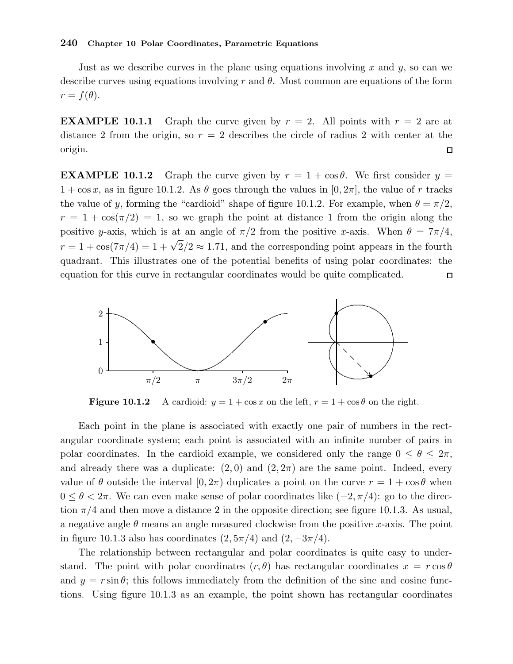#### 240 Chapter 10 Polar Coordinates, Parametric Equations

Just as we describe curves in the plane using equations involving x and y, so can we describe curves using equations involving r and  $\theta$ . Most common are equations of the form  $r = f(\theta).$ 

**EXAMPLE 10.1.1** Graph the curve given by  $r = 2$ . All points with  $r = 2$  are at distance 2 from the origin, so  $r = 2$  describes the circle of radius 2 with center at the origin.  $\Box$ 

**EXAMPLE 10.1.2** Graph the curve given by  $r = 1 + \cos \theta$ . We first consider  $y =$  $1 + \cos x$ , as in figure 10.1.2. As  $\theta$  goes through the values in [0, 2π], the value of r tracks the value of y, forming the "cardioid" shape of figure 10.1.2. For example, when  $\theta = \pi/2$ ,  $r = 1 + \cos(\pi/2) = 1$ , so we graph the point at distance 1 from the origin along the positive y-axis, which is at an angle of  $\pi/2$  from the positive x-axis. When  $\theta = 7\pi/4$ ,  $r = 1 + \cos(7\pi/4) = 1 + \sqrt{2}/2 \approx 1.71$ , and the corresponding point appears in the fourth quadrant. This illustrates one of the potential benefits of using polar coordinates: the equation for this curve in rectangular coordinates would be quite complicated.  $\Box$ 



**Figure 10.1.2** A cardioid:  $y = 1 + \cos x$  on the left,  $r = 1 + \cos \theta$  on the right.

Each point in the plane is associated with exactly one pair of numbers in the rectangular coordinate system; each point is associated with an infinite number of pairs in polar coordinates. In the cardioid example, we considered only the range  $0 \le \theta \le 2\pi$ , and already there was a duplicate:  $(2,0)$  and  $(2,2\pi)$  are the same point. Indeed, every value of  $\theta$  outside the interval  $[0, 2\pi)$  duplicates a point on the curve  $r = 1 + \cos \theta$  when  $0 \leq \theta < 2\pi$ . We can even make sense of polar coordinates like  $(-2, \pi/4)$ : go to the direction  $\pi/4$  and then move a distance 2 in the opposite direction; see figure 10.1.3. As usual, a negative angle  $\theta$  means an angle measured clockwise from the positive x-axis. The point in figure 10.1.3 also has coordinates  $(2, 5\pi/4)$  and  $(2, -3\pi/4)$ .

The relationship between rectangular and polar coordinates is quite easy to understand. The point with polar coordinates  $(r, \theta)$  has rectangular coordinates  $x = r \cos \theta$ and  $y = r \sin \theta$ ; this follows immediately from the definition of the sine and cosine functions. Using figure 10.1.3 as an example, the point shown has rectangular coordinates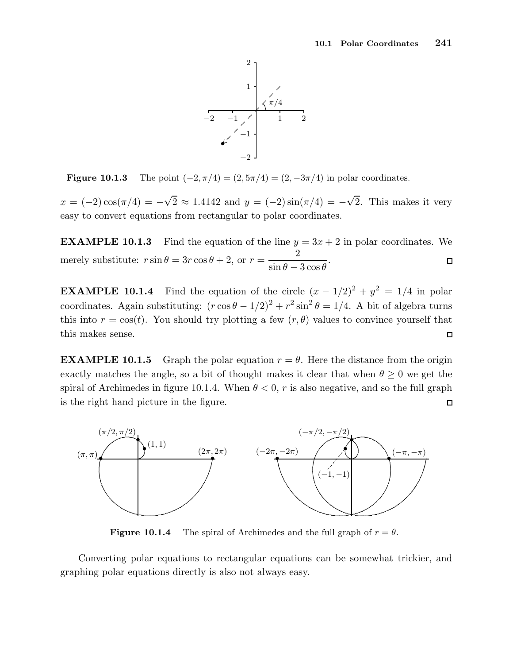

**Figure 10.1.3** The point  $(-2, \pi/4) = (2, 5\pi/4) = (2, -3\pi/4)$  in polar coordinates.

 $x = (-2)\cos(\pi/4) = -\sqrt{2} \approx 1.4142$  and  $y = (-2)\sin(\pi/4) = -\sqrt{2}$ . This makes it very easy to convert equations from rectangular to polar coordinates.

**EXAMPLE 10.1.3** Find the equation of the line  $y = 3x + 2$  in polar coordinates. We 2 merely substitute:  $r \sin \theta = 3r \cos \theta + 2$ , or  $r =$ .  $\Box$  $\sin \theta - 3 \cos \theta$ 

**EXAMPLE 10.1.4** Find the equation of the circle  $(x - 1/2)^2 + y^2 = 1/4$  in polar coordinates. Again substituting:  $(r \cos \theta - 1/2)^2 + r^2 \sin^2 \theta = 1/4$ . A bit of algebra turns this into  $r = \cos(t)$ . You should try plotting a few  $(r, \theta)$  values to convince yourself that this makes sense.  $\Box$ 

**EXAMPLE 10.1.5** Graph the polar equation  $r = \theta$ . Here the distance from the origin exactly matches the angle, so a bit of thought makes it clear that when  $\theta \geq 0$  we get the spiral of Archimedes in figure 10.1.4. When  $\theta < 0$ , r is also negative, and so the full graph is the right hand picture in the figure.  $\Box$ 



**Figure 10.1.4** The spiral of Archimedes and the full graph of  $r = \theta$ .

Converting polar equations to rectangular equations can be somewhat trickier, and graphing polar equations directly is also not always easy.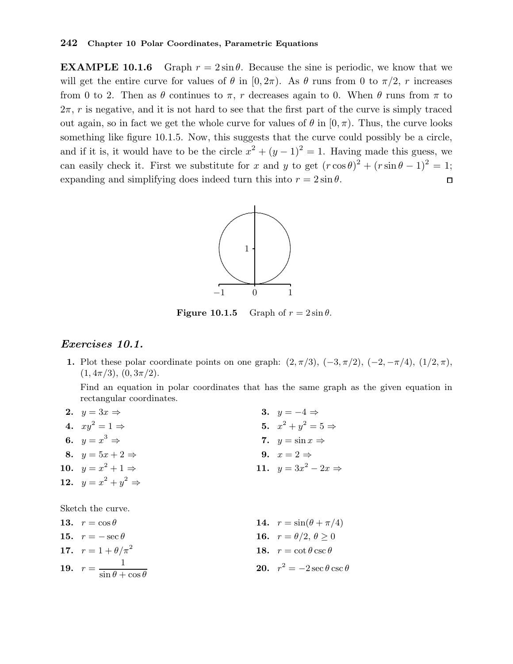**EXAMPLE 10.1.6** Graph  $r = 2 \sin \theta$ . Because the sine is periodic, we know that we will get the entire curve for values of  $\theta$  in  $[0, 2\pi)$ . As  $\theta$  runs from 0 to  $\pi/2$ , r increases from 0 to 2. Then as  $\theta$  continues to  $\pi$ , r decreases again to 0. When  $\theta$  runs from  $\pi$  to  $2\pi$ , r is negative, and it is not hard to see that the first part of the curve is simply traced out again, so in fact we get the whole curve for values of  $\theta$  in  $[0, \pi)$ . Thus, the curve looks something like figure 10.1.5. Now, this suggests that the curve could possibly be a circle, and if it is, it would have to be the circle  $x^2 + (y - 1)^2 = 1$ . Having made this guess, we can easily check it. First we substitute for x and y to get  $(r \cos \theta)^2 + (r \sin \theta - 1)^2 = 1$ ; expanding and simplifying does indeed turn this into  $r = 2 \sin \theta$ .  $\Box$ 



**Figure 10.1.5** Graph of  $r = 2 \sin \theta$ .

#### Exercises 10.1.

1. Plot these polar coordinate points on one graph:  $(2, \pi/3)$ ,  $(-3, \pi/2)$ ,  $(-2, -\pi/4)$ ,  $(1/2, \pi)$ ,  $(1, 4\pi/3), (0, 3\pi/2).$ 

Find an equation in polar coordinates that has the same graph as the given equation in rectangular coordinates.

| 2. $y = 3x \Rightarrow$                       | 3. $y = -4 \Rightarrow$                |
|-----------------------------------------------|----------------------------------------|
| 4. $xy^2 = 1 \Rightarrow$                     | 5. $x^2 + y^2 = 5 \Rightarrow$         |
| 6. $y = x^3 \Rightarrow$                      | 7. $y = \sin x \Rightarrow$            |
| 8. $y = 5x + 2 \Rightarrow$                   | 9. $x=2 \Rightarrow$                   |
| 10. $y = x^2 + 1 \Rightarrow$                 | 11. $y = 3x^2 - 2x \Rightarrow$        |
| 12. $y = x^2 + y^2 \Rightarrow$               |                                        |
|                                               |                                        |
| Sketch the curve.                             |                                        |
| 13. $r = \cos \theta$                         | 14. $r = \sin(\theta + \pi/4)$         |
| 15. $r = -\sec \theta$                        | 16. $r = \theta/2, \theta > 0$         |
| 17. $r = 1 + \theta/\pi^2$                    | 18. $r = \cot \theta \csc \theta$      |
| 19. $r = \frac{1}{\sin \theta + \cos \theta}$ | 20. $r^2 = -2 \sec \theta \csc \theta$ |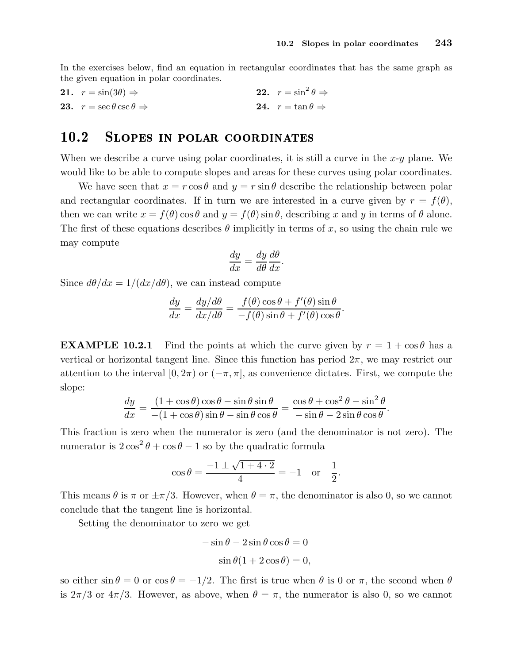In the exercises below, find an equation in rectangular coordinates that has the same graph as the given equation in polar coordinates.

**21.**  $r = \sin(3\theta) \Rightarrow$  **22.**  $r = \sin^2 \theta \Rightarrow$ <br>**23.**  $r = \sec \theta \csc \theta \Rightarrow$  **24.**  $r = \tan \theta \Rightarrow$ 22.  $r = \sin^2 \theta \Rightarrow$ 23.  $r = \sec \theta \csc \theta \Rightarrow$ 

#### 10.2 SLOPES IN POLAR COORDINATES

When we describe a curve using polar coordinates, it is still a curve in the  $x-y$  plane. We would like to be able to compute slopes and areas for these curves using polar coordinates.

We have seen that  $x = r \cos \theta$  and  $y = r \sin \theta$  describe the relationship between polar and rectangular coordinates. If in turn we are interested in a curve given by  $r = f(\theta)$ , then we can write  $x = f(\theta) \cos \theta$  and  $y = f(\theta) \sin \theta$ , describing x and y in terms of  $\theta$  alone. The first of these equations describes  $\theta$  implicitly in terms of x, so using the chain rule we may compute

$$
\frac{dy}{dx} = \frac{dy}{d\theta} \frac{d\theta}{dx}.
$$

Since  $d\theta/dx = 1/(dx/d\theta)$ , we can instead compute

$$
\frac{dy}{dx} = \frac{dy/d\theta}{dx/d\theta} = \frac{f(\theta)\cos\theta + f'(\theta)\sin\theta}{-f(\theta)\sin\theta + f'(\theta)\cos\theta}.
$$

**EXAMPLE 10.2.1** Find the points at which the curve given by  $r = 1 + \cos \theta$  has a vertical or horizontal tangent line. Since this function has period  $2\pi$ , we may restrict our attention to the interval [0,  $2\pi$ ) or  $(-\pi, \pi]$ , as convenience dictates. First, we compute the slope:

$$
\frac{dy}{dx} = \frac{(1+\cos\theta)\cos\theta - \sin\theta\sin\theta}{-(1+\cos\theta)\sin\theta - \sin\theta\cos\theta} = \frac{\cos\theta + \cos^2\theta - \sin^2\theta}{-\sin\theta - 2\sin\theta\cos\theta}.
$$

This fraction is zero when the numerator is zero (and the denominator is not zero). The numerator is  $2\cos^2\theta + \cos\theta - 1$  so by the quadratic formula

$$
\cos \theta = \frac{-1 \pm \sqrt{1 + 4 \cdot 2}}{4} = -1
$$
 or  $\frac{1}{2}$ .

This means  $\theta$  is  $\pi$  or  $\pm \pi/3$ . However, when  $\theta = \pi$ , the denominator is also 0, so we cannot conclude that the tangent line is horizontal.

Setting the denominator to zero we get

$$
-\sin\theta - 2\sin\theta\cos\theta = 0
$$
  

$$
\sin\theta(1 + 2\cos\theta) = 0
$$

$$
\sin \theta (1 + 2 \cos \theta) = 0,
$$

so either  $\sin \theta = 0$  or  $\cos \theta = -1/2$ . The first is true when  $\theta$  is 0 or  $\pi$ , the second when  $\theta$ is  $2\pi/3$  or  $4\pi/3$ . However, as above, when  $\theta = \pi$ , the numerator is also 0, so we cannot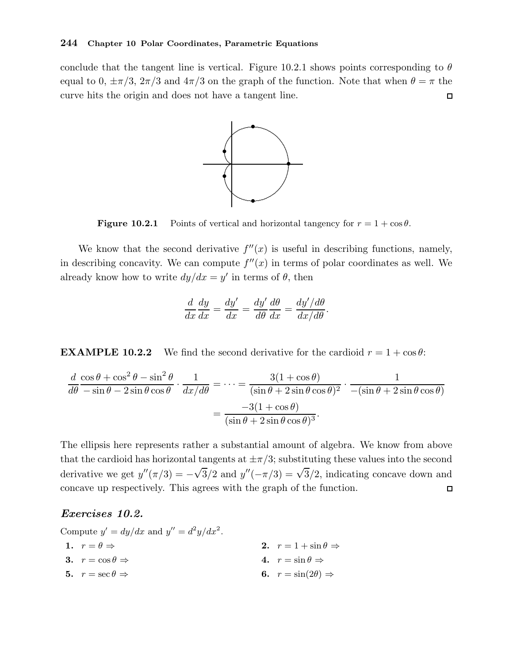#### 244 Chapter 10 Polar Coordinates, Parametric Equations

conclude that the tangent line is vertical. Figure 10.2.1 shows points corresponding to  $\theta$ equal to 0,  $\pm \pi/3$ ,  $2\pi/3$  and  $4\pi/3$  on the graph of the function. Note that when  $\theta = \pi$  the curve hits the origin and does not have a tangent line.  $\Box$ 



**Figure 10.2.1** Points of vertical and horizontal tangency for  $r = 1 + \cos \theta$ .

We know that the second derivative  $f''(x)$  is useful in describing functions, namely, in describing concavity. We can compute  $f''(x)$  in terms of polar coordinates as well. We already know how to write  $dy/dx = y'$  in terms of  $\theta$ , then

$$
\frac{d}{dx}\frac{dy}{dx} = \frac{dy'}{dx} = \frac{dy'}{d\theta}\frac{d\theta}{dx} = \frac{dy'/d\theta}{dx/d\theta}.
$$

**EXAMPLE 10.2.2** We find the second derivative for the cardioid  $r = 1 + \cos \theta$ :

$$
\frac{d}{d\theta} \frac{\cos\theta + \cos^2\theta - \sin^2\theta}{-\sin\theta - 2\sin\theta\cos\theta} \cdot \frac{1}{dx/d\theta} = \dots = \frac{3(1+\cos\theta)}{(\sin\theta + 2\sin\theta\cos\theta)^2} \cdot \frac{1}{-(\sin\theta + 2\sin\theta\cos\theta)}
$$

$$
= \frac{-3(1+\cos\theta)}{(\sin\theta + 2\sin\theta\cos\theta)^3}.
$$

The ellipsis here represents rather a substantial amount of algebra. We know from above that the cardioid has horizontal tangents at  $\pm \pi/3$ ; substituting these values into the second derivative we get  $y''(\pi/3) = -\sqrt{3}/2$  and  $y''(-\pi/3) = \sqrt{3}/2$ , indicating concave down and concave up respectively. This agrees with the graph of the function.  $\Box$ 

#### Exercises 10.2.

| Compute $y' = dy/dx$ and $y'' = d^2y/dx^2$ . |                                      |
|----------------------------------------------|--------------------------------------|
| 1. $r = \theta \Rightarrow$                  | 2. $r = 1 + \sin \theta \Rightarrow$ |
| 3. $r = \cos \theta \Rightarrow$             | 4. $r = \sin \theta \Rightarrow$     |
| 5. $r = \sec \theta \Rightarrow$             | 6. $r = \sin(2\theta) \Rightarrow$   |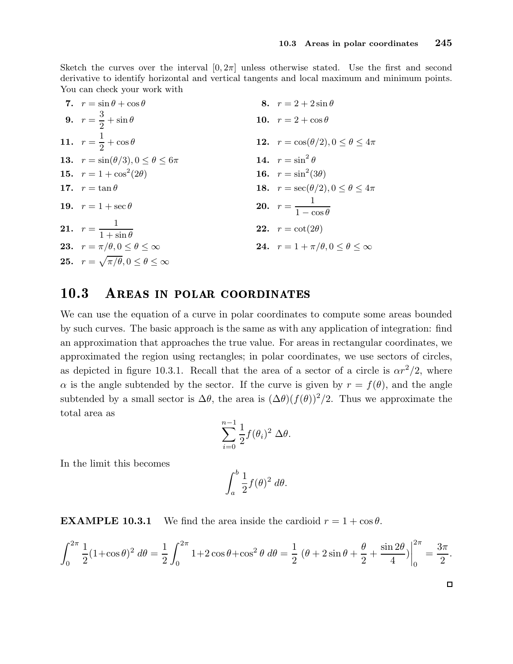Sketch the curves over the interval  $[0, 2\pi]$  unless otherwise stated. Use the first and second derivative to identify horizontal and vertical tangents and local maximum and minimum points. You can check your work with

| 7. $r = \sin \theta + \cos \theta$                          | 8. $r = 2 + 2 \sin \theta$                               |
|-------------------------------------------------------------|----------------------------------------------------------|
| 9. $r = \frac{3}{2} + \sin \theta$                          | 10. $r = 2 + \cos \theta$                                |
| 11. $r = \frac{1}{2} + \cos \theta$                         | <b>12.</b> $r = \cos(\theta/2), 0 \le \theta \le 4\pi$   |
| <b>13.</b> $r = \sin(\theta/3), 0 \le \theta \le 6\pi$      | 14. $r = \sin^2 \theta$                                  |
| 15. $r = 1 + \cos^2(2\theta)$                               | 16. $r = \sin^2(3\theta)$                                |
| 17. $r = \tan \theta$                                       | <b>18.</b> $r = \sec(\theta/2), 0 \le \theta \le 4\pi$   |
| 19. $r = 1 + \sec \theta$                                   | <b>20.</b> $r = \frac{1}{1 - \cos \theta}$               |
| <b>21.</b> $r = \frac{1}{1 + \sin \theta}$                  | <b>22.</b> $r = \cot(2\theta)$                           |
| <b>23.</b> $r = \pi/\theta, 0 \leq \theta \leq \infty$      | <b>24.</b> $r = 1 + \pi/\theta, 0 \le \theta \le \infty$ |
| <b>25.</b> $r = \sqrt{\pi/\theta}, 0 \le \theta \le \infty$ |                                                          |

#### 10.3 AREAS IN POLAR COORDINATES

We can use the equation of a curve in polar coordinates to compute some areas bounded by such curves. The basic approach is the same as with any application of integration: find an approximation that approaches the true value. For areas in rectangular coordinates, we approximated the region using rectangles; in polar coordinates, we use sectors of circles, as depicted in figure 10.3.1. Recall that the area of a sector of a circle is  $\alpha r^2/2$ , where  $\alpha$  is the angle subtended by the sector. If the curve is given by  $r = f(\theta)$ , and the angle subtended by a small sector is  $\Delta\theta$ , the area is  $(\Delta\theta)(f(\theta))^2/2$ . Thus we approximate the total area as

$$
\sum_{i=0}^{n-1} \frac{1}{2} f(\theta_i)^2 \, \Delta \theta.
$$

In the limit this becomes

$$
\int_a^b \frac{1}{2} f(\theta)^2 \ d\theta.
$$

**EXAMPLE 10.3.1** We find the area inside the cardioid  $r = 1 + \cos \theta$ .

$$
\int_0^{2\pi} \frac{1}{2} (1 + \cos \theta)^2 d\theta = \frac{1}{2} \int_0^{2\pi} 1 + 2 \cos \theta + \cos^2 \theta d\theta = \frac{1}{2} (\theta + 2 \sin \theta + \frac{\theta}{2} + \frac{\sin 2\theta}{4}) \Big|_0^{2\pi} = \frac{3\pi}{2}.
$$

 $\Box$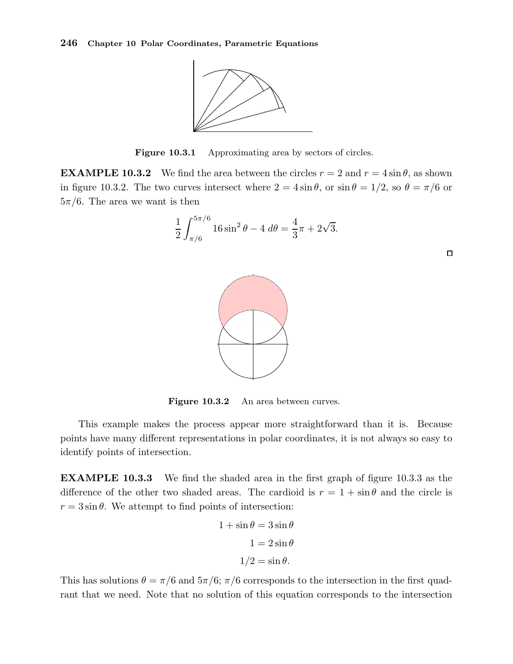

Figure 10.3.1 Approximating area by sectors of circles.

**EXAMPLE 10.3.2** We find the area between the circles  $r = 2$  and  $r = 4 \sin \theta$ , as shown in figure 10.3.2. The two curves intersect where  $2 = 4 \sin \theta$ , or  $\sin \theta = 1/2$ , so  $\theta = \pi/6$  or  $5\pi/6$ . The area we want is then



Figure 10.3.2 An area between curves.

This example makes the process appear more straightforward than it is. Because points have many different representations in polar coordinates, it is not always so easy to identify points of intersection.

EXAMPLE 10.3.3 We find the shaded area in the first graph of figure 10.3.3 as the difference of the other two shaded areas. The cardioid is  $r = 1 + \sin \theta$  and the circle is  $r = 3 \sin \theta$ . We attempt to find points of intersection:

$$
1 + \sin \theta = 3 \sin \theta
$$

$$
1 = 2 \sin \theta
$$

$$
1/2 = \sin \theta.
$$

This has solutions  $\theta = \pi/6$  and  $5\pi/6$ ;  $\pi/6$  corresponds to the intersection in the first quadrant that we need. Note that no solution of this equation corresponds to the intersection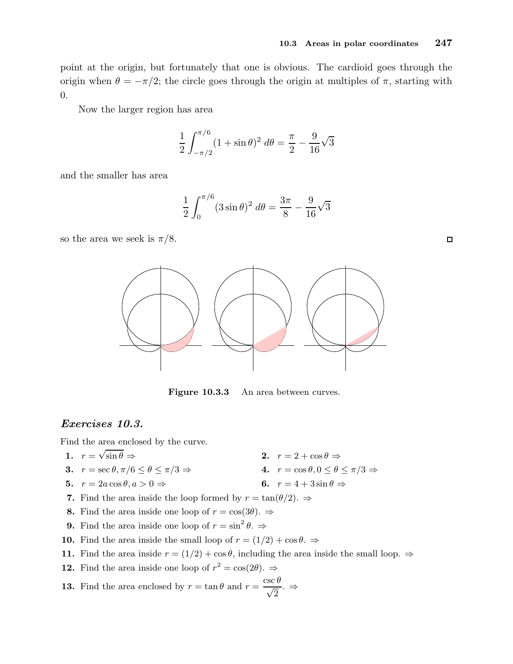point at the origin, but fortunately that one is obvious. The cardioid goes through the origin when  $\theta = -\pi/2$ ; the circle goes through the origin at multiples of  $\pi$ , starting with 0.

Now the larger region has area

$$
\frac{1}{2} \int_{-\pi/2}^{\pi/6} (1 + \sin \theta)^2 d\theta = \frac{\pi}{2} - \frac{9}{16} \sqrt{3}
$$

and the smaller has area

$$
\frac{1}{2} \int_0^{\pi/6} (3\sin\theta)^2 \ d\theta = \frac{3\pi}{8} - \frac{9}{16}\sqrt{3}
$$

so the area we seek is  $\pi/8$ .



Figure 10.3.3 An area between curves.

#### Exercises 10.3.

Find the area enclosed by the curve.

- 1.  $r = \sqrt{\ }$ 2.  $r = 2 + \cos \theta \Rightarrow$ <br>4.  $r = \cos \theta, 0 \le \theta \le \pi/3 \Rightarrow$ 3.  $r = \sec \theta, \pi/6 \le \theta \le \pi/3 \Rightarrow$
- 5.  $r = 2a \cos \theta, a > 0 \Rightarrow$  6.  $r = 4 + 3 \sin \theta \Rightarrow$
- 7. Find the area inside the loop formed by  $r = \tan(\theta/2)$ .  $\Rightarrow$
- 8. Find the area inside one loop of  $r = \cos(3\theta)$ .  $\Rightarrow$
- **9.** Find the area inside one loop of  $r = \sin^2 \theta$ .
- 10. Find the area inside the small loop of  $r = (1/2) + \cos \theta$ .  $\Rightarrow$
- 11. Find the area inside  $r = (1/2) + \cos \theta$ , including the area inside the small loop.  $\Rightarrow$
- **12.** Find the area inside one loop of  $r^2 = \cos(2\theta)$ .  $\Rightarrow$

**13.** Find the area enclosed by 
$$
r = \tan \theta
$$
 and  $r = \frac{\csc \theta}{\sqrt{2}}$ .  $\Rightarrow$ 

 $\Box$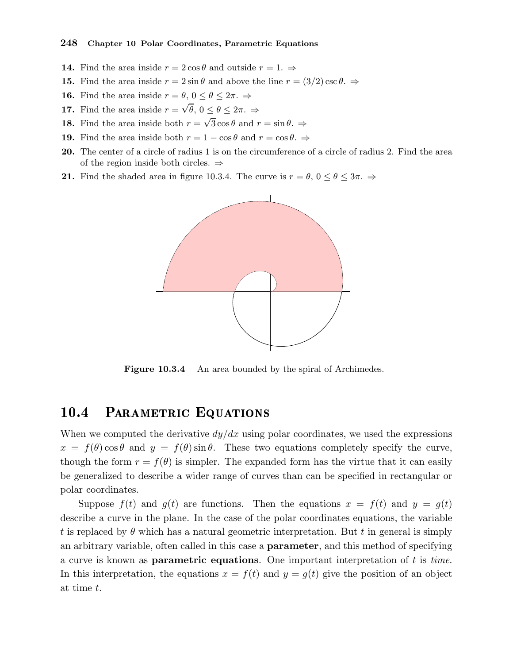- **14.** Find the area inside  $r = 2 \cos \theta$  and outside  $r = 1$ .  $\Rightarrow$
- **15.** Find the area inside  $r = 2 \sin \theta$  and above the line  $r = (3/2) \csc \theta$ .
- **16.** Find the area inside  $r = \theta$ ,  $0 \le \theta \le 2\pi$ .  $\Rightarrow$
- **17.** Find the area inside  $r = \sqrt{\theta}$ ,  $0 \le \theta \le 2\pi$ .  $\Rightarrow$
- **18.** Find the area inside both  $r = \sqrt{3} \cos \theta$  and  $r = \sin \theta$ .
- **19.** Find the area inside both  $r = 1 \cos \theta$  and  $r = \cos \theta$ .  $\Rightarrow$
- 20. The center of a circle of radius 1 is on the circumference of a circle of radius 2. Find the area of the region inside both circles.  $\Rightarrow$
- **21.** Find the shaded area in figure 10.3.4. The curve is  $r = \theta$ ,  $0 \le \theta \le 3\pi$ .  $\Rightarrow$



Figure 10.3.4 An area bounded by the spiral of Archimedes.

#### 10.4 PARAMETRIC EQUATIONS

When we computed the derivative  $dy/dx$  using polar coordinates, we used the expressions  $x = f(\theta) \cos \theta$  and  $y = f(\theta) \sin \theta$ . These two equations completely specify the curve, though the form  $r = f(\theta)$  is simpler. The expanded form has the virtue that it can easily be generalized to describe a wider range of curves than can be specified in rectangular or polar coordinates.

Suppose  $f(t)$  and  $g(t)$  are functions. Then the equations  $x = f(t)$  and  $y = g(t)$ describe a curve in the plane. In the case of the polar coordinates equations, the variable t is replaced by  $\theta$  which has a natural geometric interpretation. But t in general is simply an arbitrary variable, often called in this case a parameter, and this method of specifying a curve is known as **parametric equations**. One important interpretation of  $t$  is time. In this interpretation, the equations  $x = f(t)$  and  $y = g(t)$  give the position of an object at time t.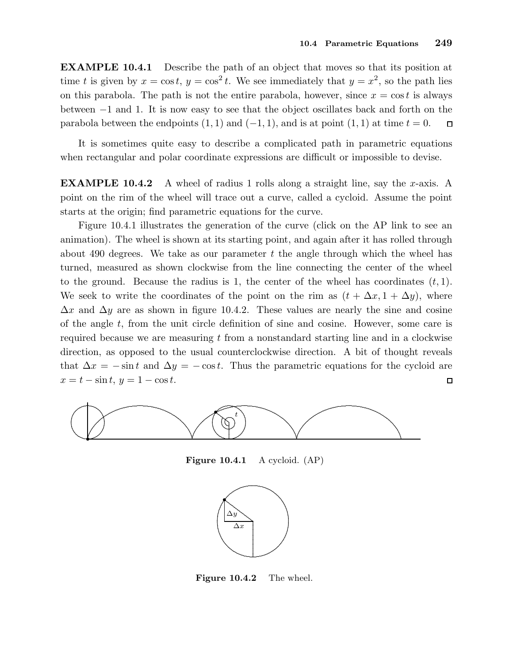EXAMPLE 10.4.1 Describe the path of an object that moves so that its position at time t is given by  $x = \cos t$ ,  $y = \cos^2 t$ . We see immediately that  $y = x^2$ , so the path lies on this parabola. The path is not the entire parabola, however, since  $x = \cos t$  is always between −1 and 1. It is now easy to see that the object oscillates back and forth on the parabola between the endpoints  $(1, 1)$  and  $(-1, 1)$ , and is at point  $(1, 1)$  at time  $t = 0$ .  $\Box$ 

It is sometimes quite easy to describe a complicated path in parametric equations when rectangular and polar coordinate expressions are difficult or impossible to devise.

**EXAMPLE 10.4.2** A wheel of radius 1 rolls along a straight line, say the x-axis. A point on the rim of the wheel will trace out a curve, called a cycloid. Assume the point starts at the origin; find parametric equations for the curve.

Figure 10.4.1 illustrates the generation of the curve (click on the AP link to see an animation). The wheel is shown at its starting point, and again after it has rolled through about 490 degrees. We take as our parameter  $t$  the angle through which the wheel has turned, measured as shown clockwise from the line connecting the center of the wheel to the ground. Because the radius is 1, the center of the wheel has coordinates  $(t, 1)$ . We seek to write the coordinates of the point on the rim as  $(t + \Delta x, 1 + \Delta y)$ , where  $\Delta x$  and  $\Delta y$  are as shown in figure 10.4.2. These values are nearly the sine and cosine of the angle  $t$ , from the unit circle definition of sine and cosine. However, some care is required because we are measuring  $t$  from a nonstandard starting line and in a clockwise direction, as opposed to the usual counterclockwise direction. A bit of thought reveals that  $\Delta x = -\sin t$  and  $\Delta y = -\cos t$ . Thus the parametric equations for the cycloid are  $x = t - \sin t$ ,  $y = 1 - \cos t$ .  $\Box$ 



Figure 10.4.1 A cycloid. (AP)



Figure 10.4.2 The wheel.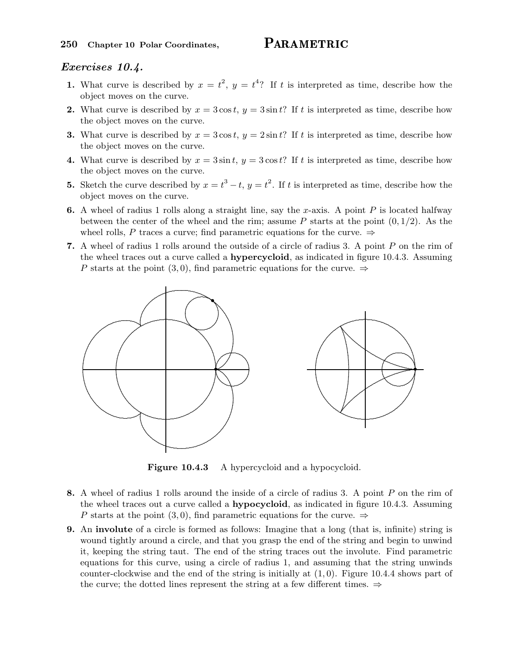#### Exercises 10.4.

- 1. What curve is described by  $x = t^2$ ,  $y = t^4$ ? If t is interpreted as time, describe how the object moves on the curve.
- 2. What curve is described by  $x = 3\cos t$ ,  $y = 3\sin t$ ? If t is interpreted as time, describe how the object moves on the curve.
- 3. What curve is described by  $x = 3\cos t$ ,  $y = 2\sin t$ ? If t is interpreted as time, describe how the object moves on the curve.
- 4. What curve is described by  $x = 3 \sin t$ ,  $y = 3 \cos t$ ? If t is interpreted as time, describe how the object moves on the curve.
- **5.** Sketch the curve described by  $x = t^3 t$ ,  $y = t^2$ . If t is interpreted as time, describe how the object moves on the curve.
- **6.** A wheel of radius 1 rolls along a straight line, say the x-axis. A point P is located halfway between the center of the wheel and the rim; assume P starts at the point  $(0, 1/2)$ . As the wheel rolls, P traces a curve; find parametric equations for the curve.  $\Rightarrow$
- 7. A wheel of radius 1 rolls around the outside of a circle of radius 3. A point P on the rim of the wheel traces out a curve called a **hypercycloid**, as indicated in figure 10.4.3. Assuming P starts at the point (3,0), find parametric equations for the curve.  $\Rightarrow$



Figure 10.4.3 A hypercycloid and a hypocycloid.

- 8. A wheel of radius 1 rolls around the inside of a circle of radius 3. A point P on the rim of the wheel traces out a curve called a **hypocycloid**, as indicated in figure 10.4.3. Assuming P starts at the point (3,0), find parametric equations for the curve.  $\Rightarrow$
- 9. An involute of a circle is formed as follows: Imagine that a long (that is, infinite) string is wound tightly around a circle, and that you grasp the end of the string and begin to unwind it, keeping the string taut. The end of the string traces out the involute. Find parametric equations for this curve, using a circle of radius 1, and assuming that the string unwinds counter-clockwise and the end of the string is initially at  $(1, 0)$ . Figure 10.4.4 shows part of the curve; the dotted lines represent the string at a few different times.  $\Rightarrow$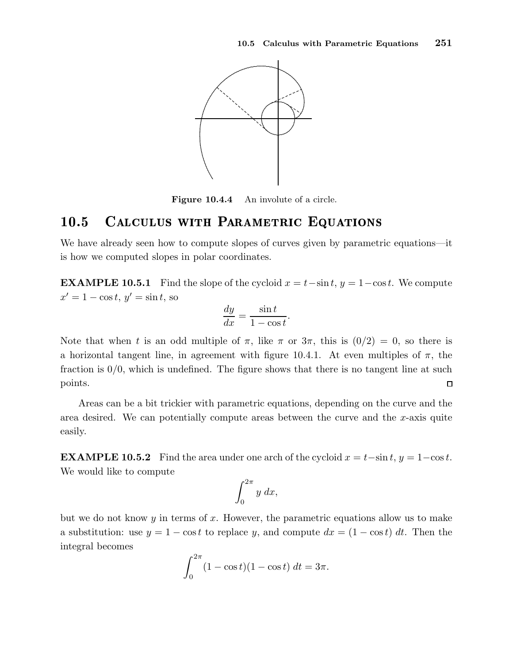

Figure 10.4.4 An involute of a circle.

#### 10.5 CALCULUS WITH PARAMETRIC EQUATIONS

We have already seen how to compute slopes of curves given by parametric equations—it is how we computed slopes in polar coordinates.

**EXAMPLE 10.5.1** Find the slope of the cycloid  $x = t-\sin t$ ,  $y = 1-\cos t$ . We compute  $x' = 1 - \cos t, y' = \sin t$ , so

$$
\frac{dy}{dx} = \frac{\sin t}{1 - \cos t}.
$$

Note that when t is an odd multiple of  $\pi$ , like  $\pi$  or  $3\pi$ , this is  $(0/2) = 0$ , so there is a horizontal tangent line, in agreement with figure 10.4.1. At even multiples of  $\pi$ , the fraction is  $0/0$ , which is undefined. The figure shows that there is no tangent line at such points.  $\Box$ 

Areas can be a bit trickier with parametric equations, depending on the curve and the area desired. We can potentially compute areas between the curve and the  $x$ -axis quite easily.

**EXAMPLE 10.5.2** Find the area under one arch of the cycloid  $x = t-\sin t$ ,  $y = 1-\cos t$ . We would like to compute

$$
\int_0^{2\pi} y \ dx,
$$

but we do not know  $y$  in terms of  $x$ . However, the parametric equations allow us to make a substitution: use  $y = 1 - \cos t$  to replace y, and compute  $dx = (1 - \cos t) dt$ . Then the integral becomes

$$
\int_0^{2\pi} (1 - \cos t)(1 - \cos t) dt = 3\pi.
$$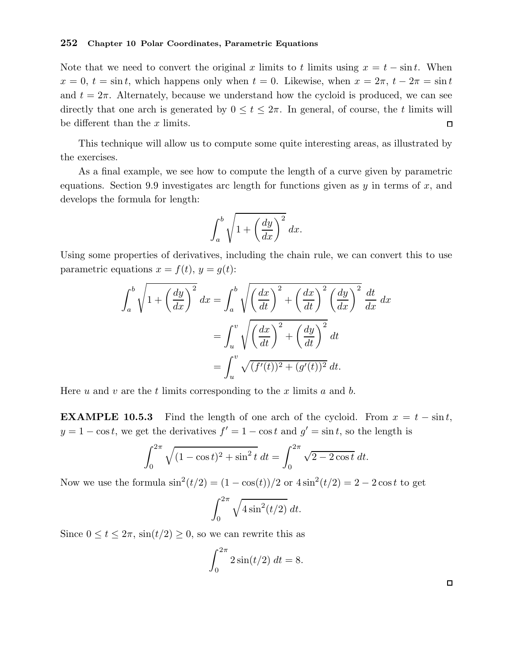#### 252 Chapter 10 Polar Coordinates, Parametric Equations

Note that we need to convert the original x limits to t limits using  $x = t - \sin t$ . When  $x = 0, t = \sin t$ , which happens only when  $t = 0$ . Likewise, when  $x = 2\pi$ ,  $t - 2\pi = \sin t$ and  $t = 2\pi$ . Alternately, because we understand how the cycloid is produced, we can see directly that one arch is generated by  $0 \le t \le 2\pi$ . In general, of course, the t limits will be different than the  $x$  limits.  $\Box$ 

This technique will allow us to compute some quite interesting areas, as illustrated by the exercises.

As a final example, we see how to compute the length of a curve given by parametric equations. Section 9.9 investigates arc length for functions given as  $y$  in terms of  $x$ , and develops the formula for length:

$$
\int_{a}^{b} \sqrt{1 + \left(\frac{dy}{dx}\right)^2} \, dx.
$$

Using some properties of derivatives, including the chain rule, we can convert this to use parametric equations  $x = f(t), y = g(t)$ :

$$
\int_{a}^{b} \sqrt{1 + \left(\frac{dy}{dx}\right)^{2}} dx = \int_{a}^{b} \sqrt{\left(\frac{dx}{dt}\right)^{2} + \left(\frac{dx}{dt}\right)^{2}} \left(\frac{dy}{dx}\right)^{2}} \frac{dt}{dx} dx
$$

$$
= \int_{u}^{v} \sqrt{\left(\frac{dx}{dt}\right)^{2} + \left(\frac{dy}{dt}\right)^{2}} dt
$$

$$
= \int_{u}^{v} \sqrt{(f'(t))^{2} + (g'(t))^{2}} dt.
$$

Here u and v are the t limits corresponding to the x limits a and b.

**EXAMPLE 10.5.3** Find the length of one arch of the cycloid. From  $x = t - \sin t$ ,  $y = 1 - \cos t$ , we get the derivatives  $f' = 1 - \cos t$  and  $g' = \sin t$ , so the length is

$$
\int_0^{2\pi} \sqrt{(1 - \cos t)^2 + \sin^2 t} \, dt = \int_0^{2\pi} \sqrt{2 - 2\cos t} \, dt.
$$

Now we use the formula  $\sin^2(t/2) = (1 - \cos(t))/2$  or  $4\sin^2(t/2) = 2 - 2\cos t$  to get

$$
\int_0^{2\pi} \sqrt{4\sin^2(t/2)}\ dt.
$$

Since  $0 \le t \le 2\pi$ ,  $\sin(t/2) \ge 0$ , so we can rewrite this as

$$
\int_0^{2\pi} 2\sin(t/2) \, dt = 8.
$$

 $\Box$